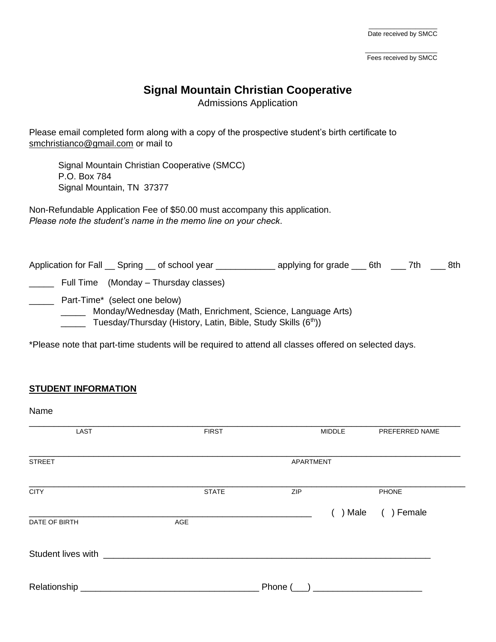$\mathcal{L}=\mathcal{L}=\mathcal{L}=\mathcal{L}=\mathcal{L}=\mathcal{L}=\mathcal{L}=\mathcal{L}=\mathcal{L}=\mathcal{L}=\mathcal{L}=\mathcal{L}=\mathcal{L}=\mathcal{L}=\mathcal{L}=\mathcal{L}=\mathcal{L}=\mathcal{L}=\mathcal{L}=\mathcal{L}=\mathcal{L}=\mathcal{L}=\mathcal{L}=\mathcal{L}=\mathcal{L}=\mathcal{L}=\mathcal{L}=\mathcal{L}=\mathcal{L}=\mathcal{L}=\mathcal{L}=\mathcal{L}=\mathcal{L}=\mathcal{L}=\mathcal{L}=\mathcal{L}=\mathcal{$ Fees received by SMCC

# **Signal Mountain Christian Cooperative**

Admissions Application

Please email completed form along with a copy of the prospective student's birth certificate to [smchristianco@gmail.com](mailto:smchristianco@gmail.com) or mail to

Signal Mountain Christian Cooperative (SMCC) P.O. Box 784 Signal Mountain, TN 37377

Non-Refundable Application Fee of \$50.00 must accompany this application. *Please note the student's name in the memo line on your check*.

| Application for Fall Spring _ of school year                                                                                                                              | applying for grade 6th 5 7th |  | 8th |
|---------------------------------------------------------------------------------------------------------------------------------------------------------------------------|------------------------------|--|-----|
| Full Time (Monday – Thursday classes)                                                                                                                                     |                              |  |     |
| Part-Time* (select one below)<br>Monday/Wednesday (Math, Enrichment, Science, Language Arts)<br>Tuesday/Thursday (History, Latin, Bible, Study Skills (6 <sup>th</sup> )) |                              |  |     |

\*Please note that part-time students will be required to attend all classes offered on selected days.

#### **STUDENT INFORMATION**

| Name                                                                                                                                                                                                                           |              |                  |               |                   |
|--------------------------------------------------------------------------------------------------------------------------------------------------------------------------------------------------------------------------------|--------------|------------------|---------------|-------------------|
| LAST                                                                                                                                                                                                                           | <b>FIRST</b> |                  | <b>MIDDLE</b> | PREFERRED NAME    |
| <b>STREET</b>                                                                                                                                                                                                                  |              | <b>APARTMENT</b> |               |                   |
| <b>CITY</b>                                                                                                                                                                                                                    | <b>STATE</b> | <b>ZIP</b>       |               | <b>PHONE</b>      |
| DATE OF BIRTH                                                                                                                                                                                                                  | AGE          |                  |               | ) Male ( ) Female |
|                                                                                                                                                                                                                                |              |                  |               |                   |
| Student lives with the state of the state of the state of the state of the state of the state of the state of the state of the state of the state of the state of the state of the state of the state of the state of the stat |              |                  |               |                   |
|                                                                                                                                                                                                                                |              |                  |               |                   |
| Relationship                                                                                                                                                                                                                   |              | Phone (          |               |                   |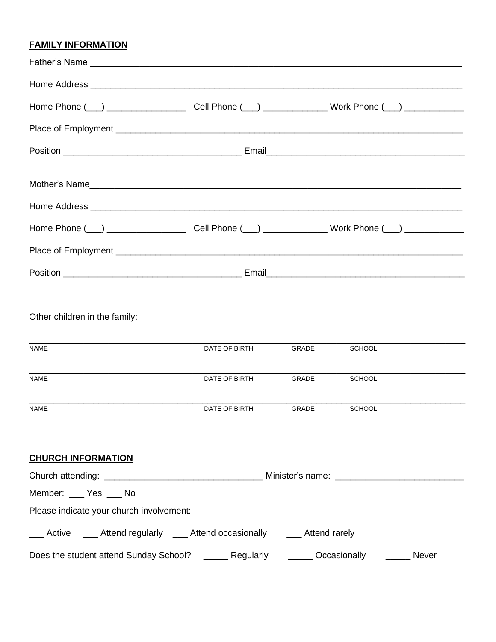# **FAMILY INFORMATION**

| Other children in the family:<br><b>NAME</b>                                  | DATE OF BIRTH | <b>GRADE</b> | <b>SCHOOL</b> |              |
|-------------------------------------------------------------------------------|---------------|--------------|---------------|--------------|
| <b>NAME</b>                                                                   | DATE OF BIRTH | <b>GRADE</b> | <b>SCHOOL</b> |              |
| <b>NAME</b>                                                                   | DATE OF BIRTH | GRADE        | <b>SCHOOL</b> |              |
| <b>CHURCH INFORMATION</b>                                                     |               |              |               |              |
|                                                                               |               |              |               |              |
| Member: ____ Yes ___ No                                                       |               |              |               |              |
| Please indicate your church involvement:                                      |               |              |               |              |
| ___ Active ____ Attend regularly ___ Attend occasionally _____ Attend rarely  |               |              |               |              |
| Does the student attend Sunday School? _______ Regularly _______ Occasionally |               |              |               | <b>Never</b> |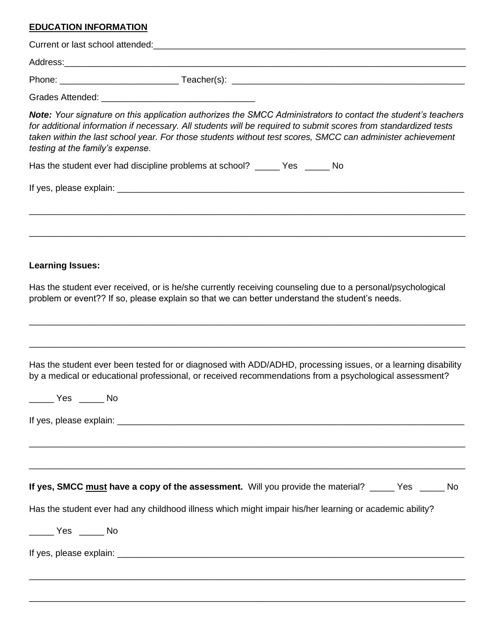# **EDUCATION INFORMATION**

| Note: Your signature on this application authorizes the SMCC Administrators to contact the student's teachers<br>for additional information if necessary. All students will be required to submit scores from standardized tests<br>taken within the last school year. For those students without test scores, SMCC can administer achievement<br>testing at the family's expense. |
|------------------------------------------------------------------------------------------------------------------------------------------------------------------------------------------------------------------------------------------------------------------------------------------------------------------------------------------------------------------------------------|
| Has the student ever had discipline problems at school? ______ Yes ______ No                                                                                                                                                                                                                                                                                                       |
|                                                                                                                                                                                                                                                                                                                                                                                    |
|                                                                                                                                                                                                                                                                                                                                                                                    |
| <b>Learning Issues:</b>                                                                                                                                                                                                                                                                                                                                                            |
| Has the student ever received, or is he/she currently receiving counseling due to a personal/psychological<br>problem or event?? If so, please explain so that we can better understand the student's needs.                                                                                                                                                                       |
| Has the student ever been tested for or diagnosed with ADD/ADHD, processing issues, or a learning disability<br>by a medical or educational professional, or received recommendations from a psychological assessment?                                                                                                                                                             |
|                                                                                                                                                                                                                                                                                                                                                                                    |
| If yes, SMCC must have a copy of the assessment. Will you provide the material? _____ Yes _____ No                                                                                                                                                                                                                                                                                 |
| Has the student ever had any childhood illness which might impair his/her learning or academic ability?                                                                                                                                                                                                                                                                            |
| $\frac{1}{\sqrt{1-\frac{1}{2}}}$ Yes $\frac{1}{\sqrt{1-\frac{1}{2}}}$ No                                                                                                                                                                                                                                                                                                           |
|                                                                                                                                                                                                                                                                                                                                                                                    |
|                                                                                                                                                                                                                                                                                                                                                                                    |

\_\_\_\_\_\_\_\_\_\_\_\_\_\_\_\_\_\_\_\_\_\_\_\_\_\_\_\_\_\_\_\_\_\_\_\_\_\_\_\_\_\_\_\_\_\_\_\_\_\_\_\_\_\_\_\_\_\_\_\_\_\_\_\_\_\_\_\_\_\_\_\_\_\_\_\_\_\_\_\_\_\_\_\_\_\_\_\_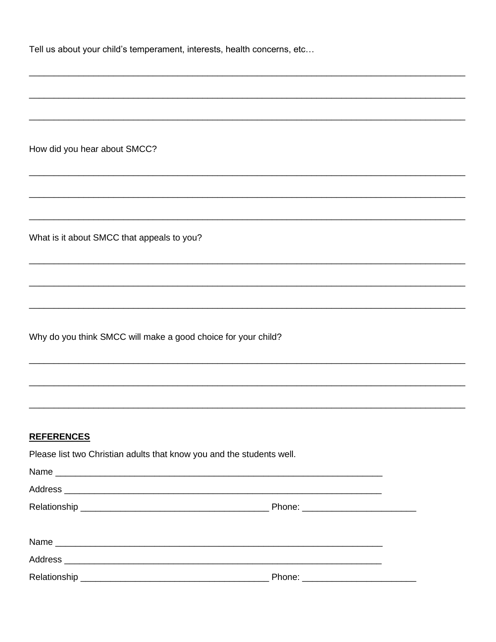|  |  |  |  | Tell us about your child's temperament, interests, health concerns, etc |  |
|--|--|--|--|-------------------------------------------------------------------------|--|
|--|--|--|--|-------------------------------------------------------------------------|--|

How did you hear about SMCC?

What is it about SMCC that appeals to you?

Why do you think SMCC will make a good choice for your child?

#### **REFERENCES**

Please list two Christian adults that know you and the students well.

| Name |  |
|------|--|
|      |  |
|      |  |